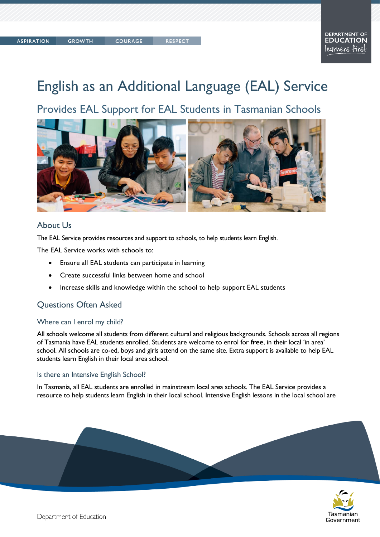# English as an Additional Language (EAL) Service

Provides EAL Support for EAL Students in Tasmanian Schools



## About Us

The EAL Service provides resources and support to schools, to help students learn English.

The EAL Service works with schools to:

- Ensure all EAL students can participate in learning
- Create successful links between home and school
- Increase skills and knowledge within the school to help support EAL students

# Questions Often Asked

#### Where can I enrol my child?

All schools welcome all students from different cultural and religious backgrounds. Schools across all regions of Tasmania have EAL students enrolled. Students are welcome to enrol for **free**, in their local 'in area' school. All schools are co-ed, boys and girls attend on the same site. Extra support is available to help EAL students learn English in their local area school.

#### Is there an Intensive English School?

In Tasmania, all EAL students are enrolled in mainstream local area schools. The EAL Service provides a resource to help students learn English in their local school. Intensive English lessons in the local school are